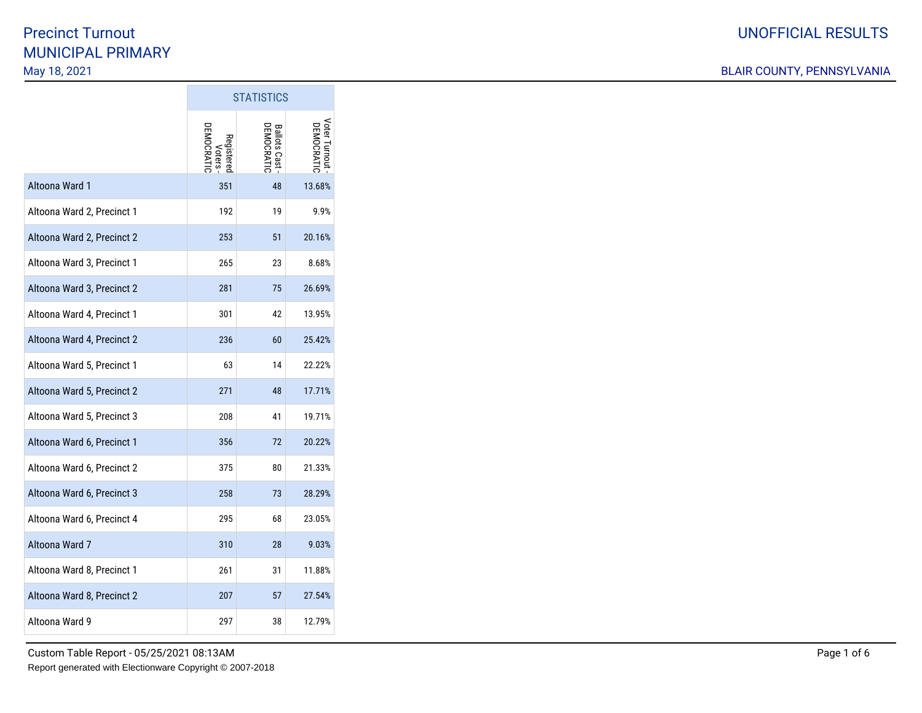#### BLAIR COUNTY, PENNSYLVANIA

|                            | <b>STATISTICS</b>         |                            |                             |
|----------------------------|---------------------------|----------------------------|-----------------------------|
|                            | <b>EMOCRATI</b><br>Voters | Ballots Cast<br>DEMOCRATIC | Voter Turnout<br>DEMOCRATIC |
| Altoona Ward 1             | 351                       | 48                         | 13.68%                      |
| Altoona Ward 2, Precinct 1 | 192                       | 19                         | 9.9%                        |
| Altoona Ward 2, Precinct 2 | 253                       | 51                         | 20.16%                      |
| Altoona Ward 3, Precinct 1 | 265                       | 23                         | 8.68%                       |
| Altoona Ward 3, Precinct 2 | 281                       | 75                         | 26.69%                      |
| Altoona Ward 4, Precinct 1 | 301                       | 42                         | 13.95%                      |
| Altoona Ward 4, Precinct 2 | 236                       | 60                         | 25.42%                      |
| Altoona Ward 5, Precinct 1 | 63                        | 14                         | 22.22%                      |
| Altoona Ward 5, Precinct 2 | 271                       | 48                         | 17.71%                      |
| Altoona Ward 5, Precinct 3 | 208                       | 41                         | 19.71%                      |
| Altoona Ward 6, Precinct 1 | 356                       | 72                         | 20.22%                      |
| Altoona Ward 6, Precinct 2 | 375                       | 80                         | 21.33%                      |
| Altoona Ward 6, Precinct 3 | 258                       | 73                         | 28.29%                      |
| Altoona Ward 6, Precinct 4 | 295                       | 68                         | 23.05%                      |
| Altoona Ward 7             | 310                       | 28                         | 9.03%                       |
| Altoona Ward 8, Precinct 1 | 261                       | 31                         | 11.88%                      |
| Altoona Ward 8, Precinct 2 | 207                       | 57                         | 27.54%                      |
| Altoona Ward 9             | 297                       | 38                         | 12.79%                      |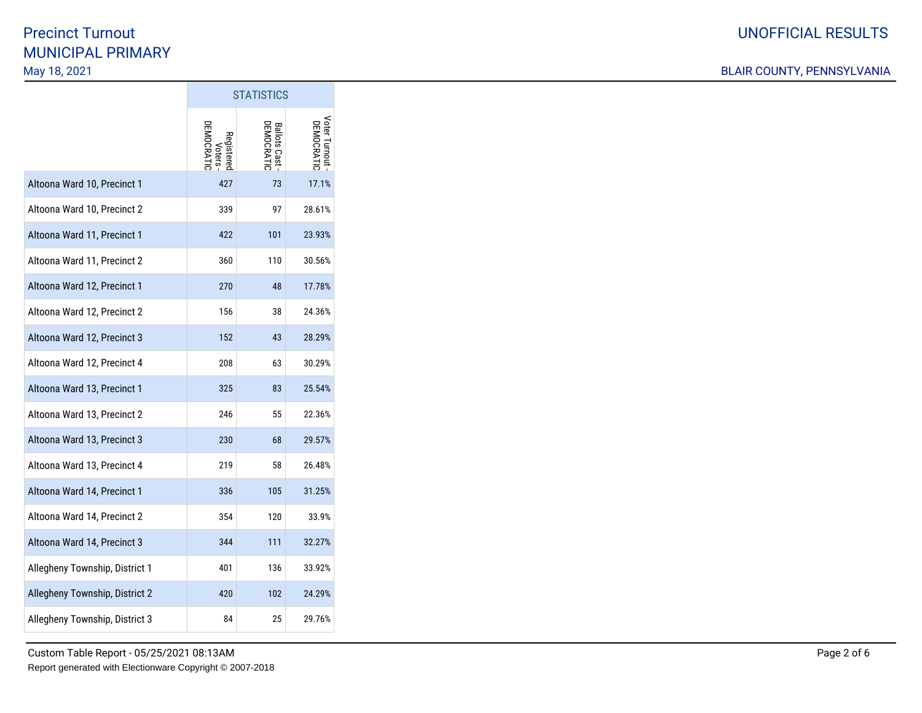#### BLAIR COUNTY, PENNSYLVANIA

|                                | ט והווטוועט                       |                                   |                             |
|--------------------------------|-----------------------------------|-----------------------------------|-----------------------------|
|                                | Voters<br>DEMOCRATIC<br>Registere | <b>Ballots Cast</b><br>DEMOCRATIC | Voter Turnout<br>DEMOCRATI( |
| Altoona Ward 10, Precinct 1    | 427                               | 73                                | 17.1%                       |
| Altoona Ward 10, Precinct 2    | 339                               | 97                                | 28.61%                      |
| Altoona Ward 11, Precinct 1    | 422                               | 101                               | 23.93%                      |
| Altoona Ward 11, Precinct 2    | 360                               | 110                               | 30.56%                      |
| Altoona Ward 12, Precinct 1    | 270                               | 48                                | 17.78%                      |
| Altoona Ward 12, Precinct 2    | 156                               | 38                                | 24.36%                      |
| Altoona Ward 12, Precinct 3    | 152                               | 43                                | 28.29%                      |
| Altoona Ward 12, Precinct 4    | 208                               | 63                                | 30.29%                      |
| Altoona Ward 13, Precinct 1    | 325                               | 83                                | 25.54%                      |
| Altoona Ward 13, Precinct 2    | 246                               | 55                                | 22.36%                      |
| Altoona Ward 13, Precinct 3    | 230                               | 68                                | 29.57%                      |
| Altoona Ward 13, Precinct 4    | 219                               | 58                                | 26.48%                      |
| Altoona Ward 14, Precinct 1    | 336                               | 105                               | 31.25%                      |
| Altoona Ward 14, Precinct 2    | 354                               | 120                               | 33.9%                       |
| Altoona Ward 14, Precinct 3    | 344                               | 111                               | 32.27%                      |
| Allegheny Township, District 1 | 401                               | 136                               | 33.92%                      |
| Allegheny Township, District 2 | 420                               | 102                               | 24.29%                      |
| Allegheny Township, District 3 | 84                                | 25                                | 29.76%                      |

**STATISTICS**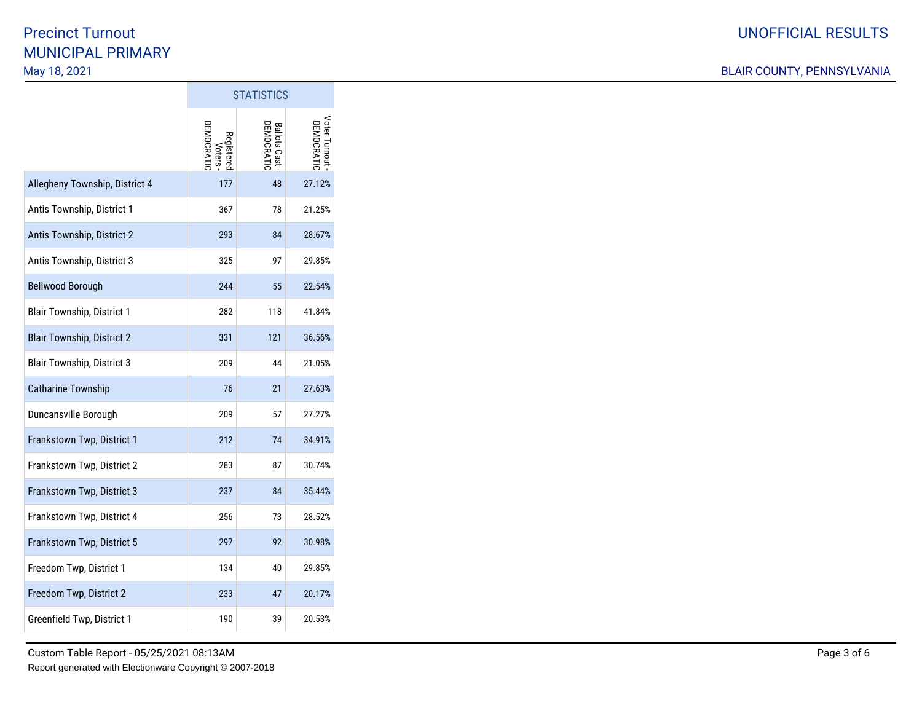#### BLAIR COUNTY, PENNSYLVANIA

|                                   | <b>STATISTICS</b>                       |                                      |                            |
|-----------------------------------|-----------------------------------------|--------------------------------------|----------------------------|
|                                   | <b>JEMOCRATI</b><br>Registere<br>Voters | <b>Ballots Cast -<br/>DEMOCRATIC</b> | Voter Turnout<br>DEMOCRATI |
| Allegheny Township, District 4    | 177                                     | 48                                   | 27.12%                     |
| Antis Township, District 1        | 367                                     | 78                                   | 21.25%                     |
| Antis Township, District 2        | 293                                     | 84                                   | 28.67%                     |
| Antis Township, District 3        | 325                                     | 97                                   | 29.85%                     |
| <b>Bellwood Borough</b>           | 244                                     | 55                                   | 22.54%                     |
| <b>Blair Township, District 1</b> | 282                                     | 118                                  | 41.84%                     |
| <b>Blair Township, District 2</b> | 331                                     | 121                                  | 36.56%                     |
| <b>Blair Township, District 3</b> | 209                                     | 44                                   | 21.05%                     |
| <b>Catharine Township</b>         | 76                                      | 21                                   | 27.63%                     |
| Duncansville Borough              | 209                                     | 57                                   | 27.27%                     |
| Frankstown Twp, District 1        | 212                                     | 74                                   | 34.91%                     |
| Frankstown Twp, District 2        | 283                                     | 87                                   | 30.74%                     |
| Frankstown Twp, District 3        | 237                                     | 84                                   | 35.44%                     |
| Frankstown Twp, District 4        | 256                                     | 73                                   | 28.52%                     |
| Frankstown Twp, District 5        | 297                                     | 92                                   | 30.98%                     |
| Freedom Twp, District 1           | 134                                     | 40                                   | 29.85%                     |
| Freedom Twp, District 2           | 233                                     | 47                                   | 20.17%                     |
| Greenfield Twp, District 1        | 190                                     | 39                                   | 20.53%                     |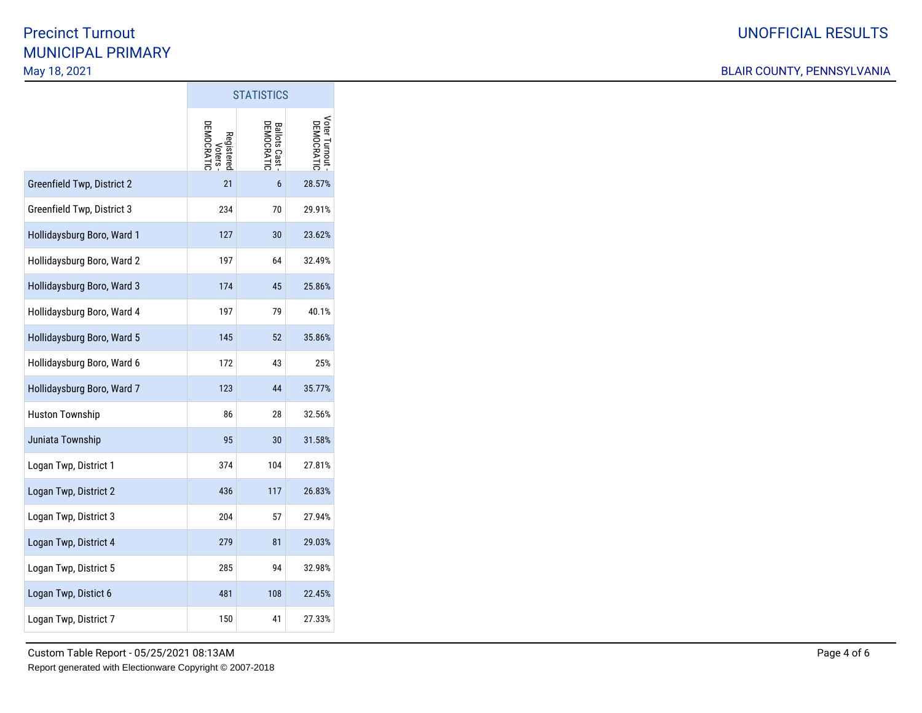#### BLAIR COUNTY, PENNSYLVANIA

|                            | <b>STATISTICS</b>                 |                                   |                            |
|----------------------------|-----------------------------------|-----------------------------------|----------------------------|
|                            | Voters<br>DEMOCRATIC<br>Registere | <b>Ballots Cast</b><br>DEMOCRATIC | Voter Turnout<br>DEMOCRATI |
| Greenfield Twp, District 2 | 21                                | 6                                 | 28.57%                     |
| Greenfield Twp, District 3 | 234                               | 70                                | 29.91%                     |
| Hollidaysburg Boro, Ward 1 | 127                               | 30                                | 23.62%                     |
| Hollidaysburg Boro, Ward 2 | 197                               | 64                                | 32.49%                     |
| Hollidaysburg Boro, Ward 3 | 174                               | 45                                | 25.86%                     |
| Hollidaysburg Boro, Ward 4 | 197                               | 79                                | 40.1%                      |
| Hollidaysburg Boro, Ward 5 | 145                               | 52                                | 35.86%                     |
| Hollidaysburg Boro, Ward 6 | 172                               | 43                                | 25%                        |
| Hollidaysburg Boro, Ward 7 | 123                               | 44                                | 35.77%                     |
| <b>Huston Township</b>     | 86                                | 28                                | 32.56%                     |
| Juniata Township           | 95                                | 30                                | 31.58%                     |
| Logan Twp, District 1      | 374                               | 104                               | 27.81%                     |
| Logan Twp, District 2      | 436                               | 117                               | 26.83%                     |
| Logan Twp, District 3      | 204                               | 57                                | 27.94%                     |
| Logan Twp, District 4      | 279                               | 81                                | 29.03%                     |
| Logan Twp, District 5      | 285                               | 94                                | 32.98%                     |
| Logan Twp, Distict 6       | 481                               | 108                               | 22.45%                     |
| Logan Twp, District 7      | 150                               | 41                                | 27.33%                     |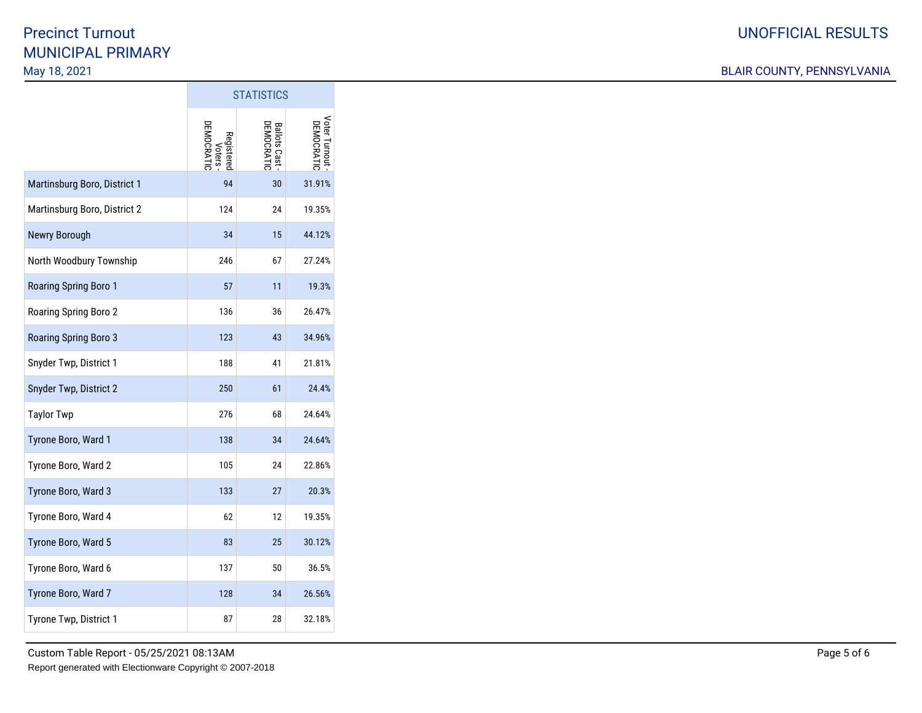#### BLAIR COUNTY, PENNSYLVANIA

|                              | טטווטווחוט                         |                              |                             |
|------------------------------|------------------------------------|------------------------------|-----------------------------|
|                              | Voters<br>DEMOCRATIC<br>Registerec | Ballots Cast -<br>DEMOCRATIC | Voter Turnout<br>DEMOCRATIC |
| Martinsburg Boro, District 1 | 94                                 | 30                           | 31.91%                      |
| Martinsburg Boro, District 2 | 124                                | 24                           | 19.35%                      |
| Newry Borough                | 34                                 | 15                           | 44.12%                      |
| North Woodbury Township      | 246                                | 67                           | 27.24%                      |
| Roaring Spring Boro 1        | 57                                 | 11                           | 19.3%                       |
| Roaring Spring Boro 2        | 136                                | 36                           | 26.47%                      |
| Roaring Spring Boro 3        | 123                                | 43                           | 34.96%                      |
| Snyder Twp, District 1       | 188                                | 41                           | 21.81%                      |
| Snyder Twp, District 2       | 250                                | 61                           | 24.4%                       |
| <b>Taylor Twp</b>            | 276                                | 68                           | 24.64%                      |
| Tyrone Boro, Ward 1          | 138                                | 34                           | 24.64%                      |
| Tyrone Boro, Ward 2          | 105                                | 24                           | 22.86%                      |
| Tyrone Boro, Ward 3          | 133                                | 27                           | 20.3%                       |
| Tyrone Boro, Ward 4          | 62                                 | 12                           | 19.35%                      |
| Tyrone Boro, Ward 5          | 83                                 | 25                           | 30.12%                      |
| Tyrone Boro, Ward 6          | 137                                | 50                           | 36.5%                       |
| Tyrone Boro, Ward 7          | 128                                | 34                           | 26.56%                      |
| Tyrone Twp, District 1       | 87                                 | 28                           | 32.18%                      |

**STATISTICS**